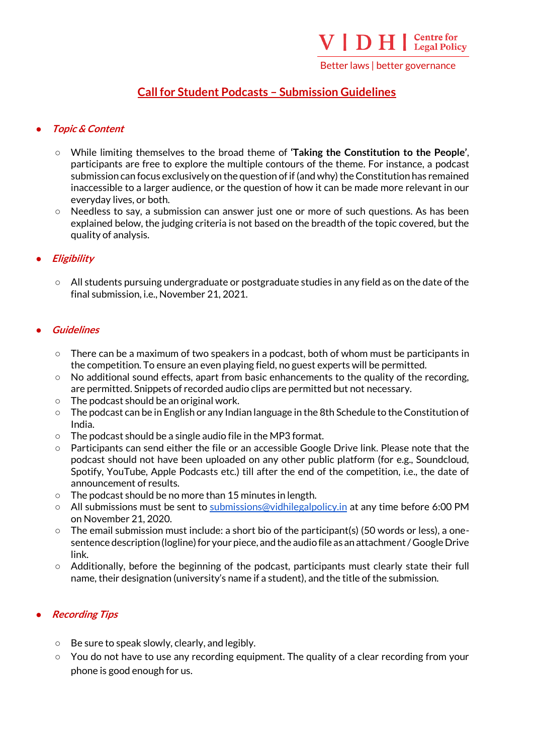Better laws | better governance

# **Call for Student Podcasts – Submission Guidelines**

## ● **Topic & Content**

- While limiting themselves to the broad theme of **'Taking the Constitution to the People'**, participants are free to explore the multiple contours of the theme. For instance, a podcast submission can focus exclusively on the question of if (and why) the Constitution has remained inaccessible to a larger audience, or the question of how it can be made more relevant in our everyday lives, or both.
- Needless to say, a submission can answer just one or more of such questions. As has been explained below, the judging criteria is not based on the breadth of the topic covered, but the quality of analysis.

## ● **Eligibility**

○ All students pursuing undergraduate or postgraduate studies in any field as on the date of the final submission, i.e., November 21, 2021.

#### **Guidelines**

- $\circ$  There can be a maximum of two speakers in a podcast, both of whom must be participants in the competition. To ensure an even playing field, no guest experts will be permitted.
- $\circ$  No additional sound effects, apart from basic enhancements to the quality of the recording, are permitted. Snippets of recorded audio clips are permitted but not necessary.
- The podcast should be an original work.
- The podcast can be in English or any Indian language in the 8th Schedule to the Constitution of India.
- The podcast should be a single audio file in the MP3 format.
- Participants can send either the file or an accessible Google Drive link. Please note that the podcast should not have been uploaded on any other public platform (for e.g., Soundcloud, Spotify, YouTube, Apple Podcasts etc.) till after the end of the competition, i.e., the date of announcement of results.
- The podcast should be no more than 15 minutes in length.
- All submissions must be sent to [submissions@vidhilegalpolicy.in](mailto:submissions@vidhilegalpolicy.in) at any time before 6:00 PM on November 21, 2020.
- The email submission must include: a short bio of the participant(s) (50 words or less), a onesentence description (logline) for your piece, and the audio file as an attachment / Google Drive link.
- Additionally, before the beginning of the podcast, participants must clearly state their full name, their designation (university's name if a student), and the title of the submission.

#### **Recording Tips**

- Be sure to speak slowly, clearly, and legibly.
- $\circ$  You do not have to use any recording equipment. The quality of a clear recording from your phone is good enough for us.